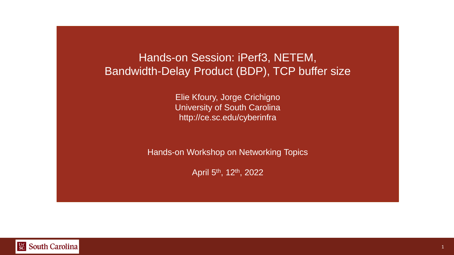#### Hands-on Session: iPerf3, NETEM, Bandwidth-Delay Product (BDP), TCP buffer size

Elie Kfoury, Jorge Crichigno University of South Carolina http://ce.sc.edu/cyberinfra

Hands-on Workshop on Networking Topics

April 5th, 12th, 2022

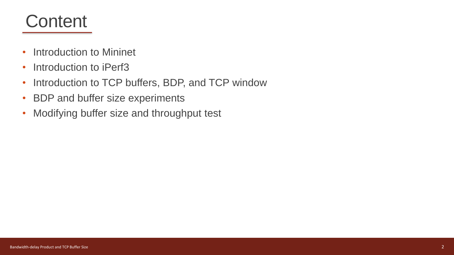#### **Content**

- Introduction to Mininet
- Introduction to iPerf3
- Introduction to TCP buffers, BDP, and TCP window
- BDP and buffer size experiments
- Modifying buffer size and throughput test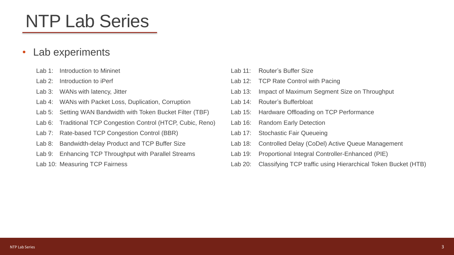# NTP Lab Series

#### • Lab experiments

- Lab 1: Introduction to Mininet
- Lab 2: Introduction to iPerf
- Lab 3: WANs with latency, Jitter
- Lab 4: WANs with Packet Loss, Duplication, Corruption
- Lab 5: Setting WAN Bandwidth with Token Bucket Filter (TBF)
- Lab 6: Traditional TCP Congestion Control (HTCP, Cubic, Reno)
- Lab 7: Rate-based TCP Congestion Control (BBR)
- Lab 8: Bandwidth-delay Product and TCP Buffer Size
- Lab 9: Enhancing TCP Throughput with Parallel Streams
- Lab 10: Measuring TCP Fairness
- Lab 11: Router's Buffer Size
- Lab 12: TCP Rate Control with Pacing
- Lab 13: Impact of Maximum Segment Size on Throughput
- Lab 14: Router's Bufferbloat
- Lab 15: Hardware Offloading on TCP Performance
- Lab 16: Random Early Detection
- Lab 17: Stochastic Fair Queueing
- Lab 18: Controlled Delay (CoDel) Active Queue Management
- Lab 19: Proportional Integral Controller-Enhanced (PIE)
- Lab 20: Classifying TCP traffic using Hierarchical Token Bucket (HTB)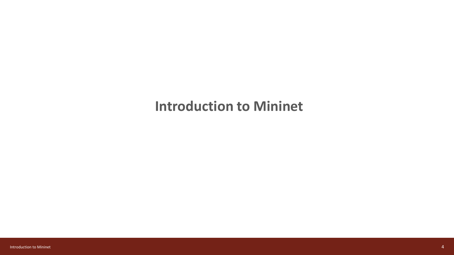#### **Introduction to Mininet**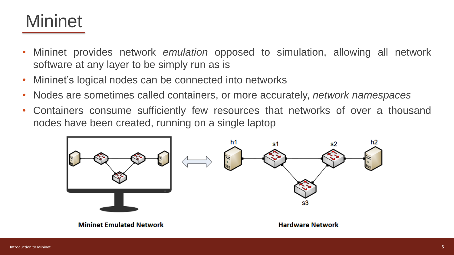### **Mininet**

- Mininet provides network *emulation* opposed to simulation, allowing all network software at any layer to be simply run as is
- Mininet's logical nodes can be connected into networks
- Nodes are sometimes called containers, or more accurately, *network namespaces*
- Containers consume sufficiently few resources that networks of over a thousand nodes have been created, running on a single laptop

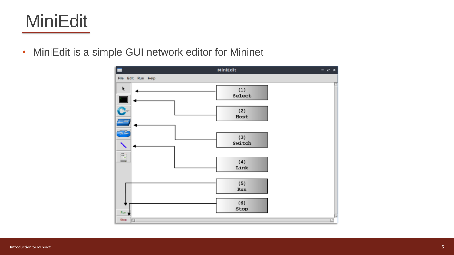## MiniEdit

• MiniEdit is a simple GUI network editor for Mininet

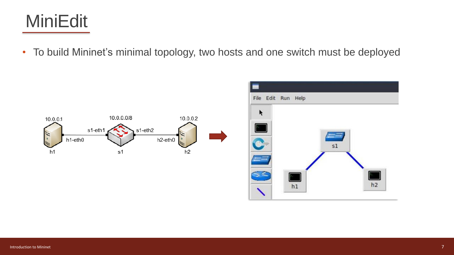### MiniEdit

• To build Mininet's minimal topology, two hosts and one switch must be deployed



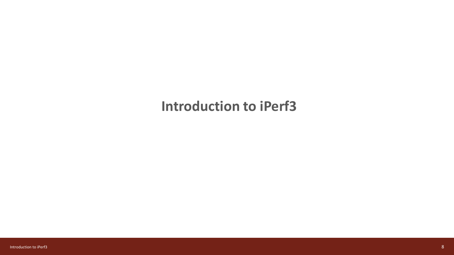#### **Introduction to iPerf3**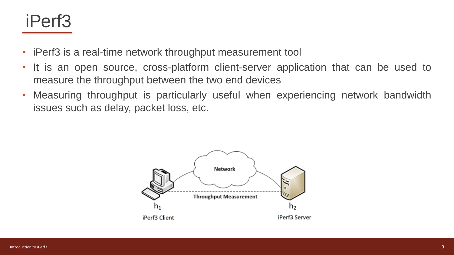#### iPerf3

- iPerf3 is a real-time network throughput measurement tool
- It is an open source, cross-platform client-server application that can be used to measure the throughput between the two end devices
- Measuring throughput is particularly useful when experiencing network bandwidth issues such as delay, packet loss, etc.

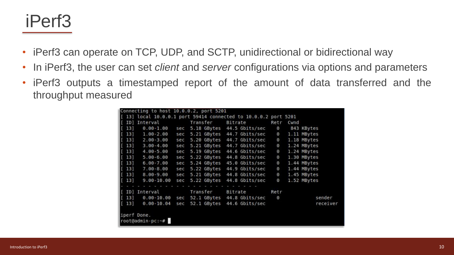#### iPerf3

- iPerf3 can operate on TCP, UDP, and SCTP, unidirectional or bidirectional way
- In iPerf3, the user can set *client* and *server* configurations via options and parameters
- iPerf3 outputs a timestamped report of the amount of data transferred and the throughput measured

|             | Connecting to host 10.0.0.2, port 5201 |     |             |                                                               |          |      |             |
|-------------|----------------------------------------|-----|-------------|---------------------------------------------------------------|----------|------|-------------|
|             |                                        |     |             | 13] local 10.0.0.1 port 59414 connected to 10.0.0.2 port 5201 |          |      |             |
|             | ID] Interval                           |     | Transfer    | Bitrate                                                       | Retr     | Cwnd |             |
| 13)         | $0.00 - 1.00$                          |     |             | sec 5.18 GBytes 44.5 Gbits/sec                                | $\Theta$ |      | 843 KBytes  |
| 13]         | 1.00-2.00                              | sec |             | 5.21 GBytes 44.7 Gbits/sec                                    | $\Theta$ |      | 1.11 MBytes |
| 13]         | $2.00 - 3.00$                          | sec |             | 5.20 GBytes 44.7 Gbits/sec                                    | $\theta$ |      | 1.18 MBytes |
| 13]         | $3.00 - 4.00$                          | sec |             | 5.21 GBytes 44.7 Gbits/sec                                    | $\theta$ |      | 1.24 MBytes |
| 13]         | $4.00 - 5.00$                          | sec |             | 5.19 GBytes 44.6 Gbits/sec                                    | $\Theta$ |      | 1.24 MBytes |
| 13]         | $5.00 - 6.00$                          | sec | 5.22 GBytes | 44.8 Gbits/sec                                                | $\theta$ |      | 1.30 MBytes |
| 13]         | $6.00 - 7.00$                          | sec | 5.24 GBytes | 45.0 Gbits/sec                                                | $\Theta$ |      | 1.44 MBytes |
| 13]         | $7.00 - 8.00$                          | sec |             | 5.22 GBytes 44.9 Gbits/sec                                    | $\Theta$ |      | 1.44 MBytes |
| 13]         | $8.00 - 9.00$                          | sec | 5.21 GBytes | 44.8 Gbits/sec                                                | Θ        |      | 1.45 MBytes |
| 13]         | $9.00 - 10.00$                         | sec | 5.22 GBytes | 44.8 Gbits/sec                                                | $\Theta$ |      | 1.52 MBytes |
|             |                                        |     |             |                                                               |          |      |             |
|             | ID] Interval                           |     | Transfer    | Bitrate                                                       | Retr     |      |             |
| 13]         | $0.00 - 10.00$                         |     |             | sec 52.1 GBytes 44.8 Gbits/sec                                | $\Theta$ |      | sender      |
| 13          | $0.00 - 10.04$                         | sec | 52.1 GBytes | 44.6 Gbits/sec                                                |          |      | receiver    |
|             |                                        |     |             |                                                               |          |      |             |
| iperf Done. |                                        |     |             |                                                               |          |      |             |
|             | root@admin-pc:~#                       |     |             |                                                               |          |      |             |
|             |                                        |     |             |                                                               |          |      |             |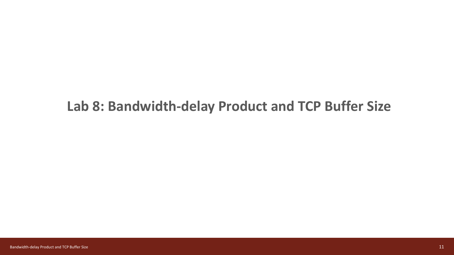#### **Lab 8: Bandwidth-delay Product and TCP Buffer Size**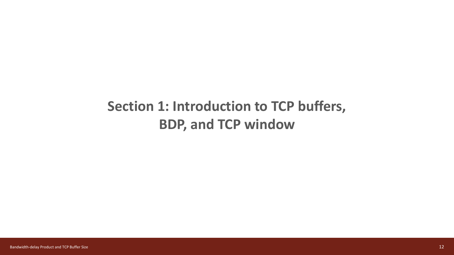#### **Section 1: Introduction to TCP buffers, BDP, and TCP window**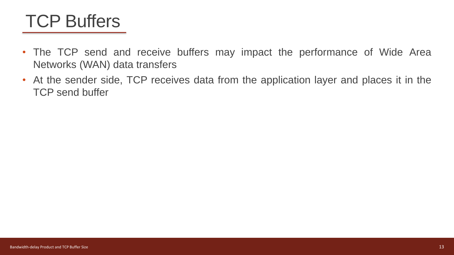### TCP Buffers

- The TCP send and receive buffers may impact the performance of Wide Area Networks (WAN) data transfers
- At the sender side, TCP receives data from the application layer and places it in the TCP send buffer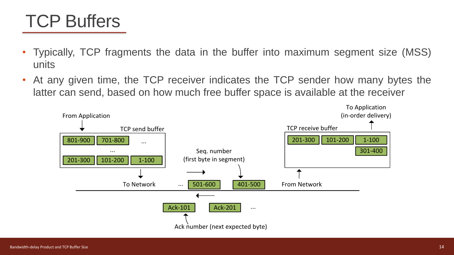### TCP Buffers

- Typically, TCP fragments the data in the buffer into maximum segment size (MSS) units
- At any given time, the TCP receiver indicates the TCP sender how many bytes the latter can send, based on how much free buffer space is available at the receiver

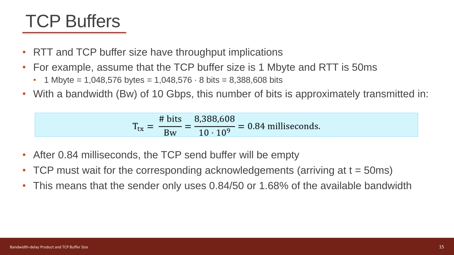### TCP Buffers

- RTT and TCP buffer size have throughput implications
- For example, assume that the TCP buffer size is 1 Mbyte and RTT is 50ms
	- 1 Mbyte = 1,048,576 bytes = 1,048,576  $\cdot$  8 bits = 8,388,608 bits
- With a bandwidth (Bw) of 10 Gbps, this number of bits is approximately transmitted in:

$$
T_{tx} = \frac{\text{\# bits}}{Bw} = \frac{8,388,608}{10 \cdot 10^9} = 0.84 \text{ milliseconds.}
$$

- After 0.84 milliseconds, the TCP send buffer will be empty
- TCP must wait for the corresponding acknowledgements (arriving at  $t = 50$ ms)
- This means that the sender only uses 0.84/50 or 1.68% of the available bandwidth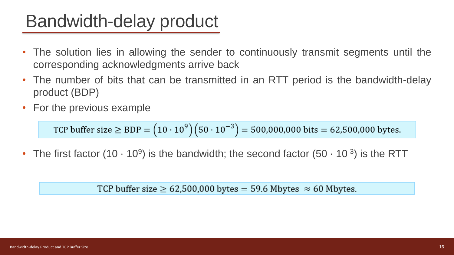### Bandwidth-delay product

- The solution lies in allowing the sender to continuously transmit segments until the corresponding acknowledgments arrive back
- The number of bits that can be transmitted in an RTT period is the bandwidth-delay product (BDP)
- For the previous example

TCP buffer size  $\geq$  BDP =  $(10 \cdot 10^9)(50 \cdot 10^{-3})$  = 500,000,000 bits = 62,500,000 bytes.

• The first factor (10  $\cdot$  10<sup>9</sup>) is the bandwidth; the second factor (50  $\cdot$  10<sup>-3</sup>) is the RTT

TCP buffer size  $\geq 62,500,000$  bytes = 59.6 Mbytes  $\approx 60$  Mbytes.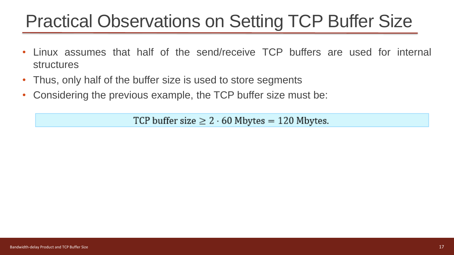# Practical Observations on Setting TCP Buffer Size

- Linux assumes that half of the send/receive TCP buffers are used for internal structures
- Thus, only half of the buffer size is used to store segments
- Considering the previous example, the TCP buffer size must be:

TCP buffer size  $\geq 2 \cdot 60$  Mbytes = 120 Mbytes.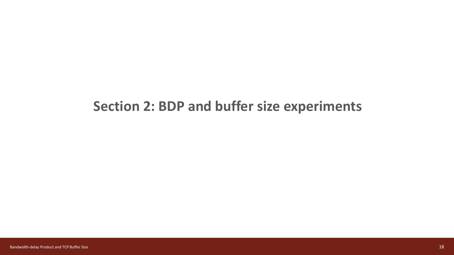#### **Section 2: BDP and buffer size experiments**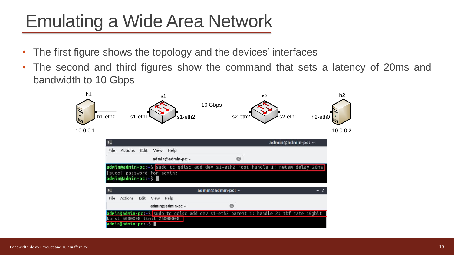# Emulating a Wide Area Network

- The first figure shows the topology and the devices' interfaces
- The second and third figures show the command that sets a latency of 20ms and bandwidth to 10 Gbps

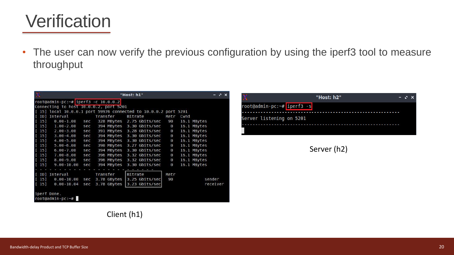#### **Verification**

• The user can now verify the previous configuration by using the iperf3 tool to measure throughput

| π<br>"Host: h1"                    |                                                                 |     |          |             |         |                           |          |      | $N - X$     |          |  |  |
|------------------------------------|-----------------------------------------------------------------|-----|----------|-------------|---------|---------------------------|----------|------|-------------|----------|--|--|
|                                    | $root@admin-pc:-# iperf3 -c 10.0.0.2 $                          |     |          |             |         |                           |          |      |             |          |  |  |
|                                    | Connecting to host 10.0.0.2, port 5201                          |     |          |             |         |                           |          |      |             |          |  |  |
|                                    | [ 15] local 10.0.0.1 port 59976 connected to 10.0.0.2 port 5201 |     |          |             |         |                           |          |      |             |          |  |  |
|                                    | [ ID] Interval                                                  |     | Transfer |             | Bitrate |                           | Retr     | Cwnd |             |          |  |  |
| $\lceil 15 \rceil$                 | $0.00 - 1.00$                                                   | sec |          |             |         | 328 MBytes 2.75 Gbits/sec | 90       |      | 16.1 MBytes |          |  |  |
| $\begin{bmatrix} 15 \end{bmatrix}$ | $1.00 - 2.00$                                                   | sec |          |             |         | 394 MBytes 3.30 Gbits/sec | $\Theta$ |      | 16.1 MBytes |          |  |  |
| $\begin{bmatrix} 15 \end{bmatrix}$ | $2.00 - 3.00$                                                   | sec |          |             |         | 391 MBytes 3.28 Gbits/sec | $\Theta$ |      | 16.1 MBytes |          |  |  |
| $[15]$                             | $3.00 - 4.00$                                                   | sec |          | 394 MBytes  |         | 3.30 Gbits/sec            | $\Theta$ |      | 16.1 MBytes |          |  |  |
| $[15]$                             | $4.00 - 5.00$                                                   | sec |          | 394 MBytes  |         | 3.30 Gbits/sec            | $\Theta$ |      | 16.1 MBytes |          |  |  |
| $\lceil 15 \rceil$                 | $5.00 - 6.00$                                                   | sec |          | 390 MBytes  |         | 3.27 Gbits/sec            | $\Theta$ |      | 16.1 MBytes |          |  |  |
| $\begin{bmatrix} 15 \end{bmatrix}$ | $6.00 - 7.00$                                                   | sec |          | 394 MBytes  |         | 3.30 Gbits/sec            | $\Theta$ |      | 16.1 MBytes |          |  |  |
| $\begin{bmatrix} 15 \end{bmatrix}$ | $7.00 - 8.00$                                                   | sec |          | 396 MBytes  |         | 3.32 Gbits/sec            | $\Theta$ |      | 16.1 MBytes |          |  |  |
| $\lceil 15 \rceil$                 | $8.00 - 9.00$                                                   | sec |          | 396 MBytes  |         | 3.32 Gbits/sec            | $\Theta$ |      | 16.1 MBytes |          |  |  |
| $[15]$                             | $9.00 - 10.00$                                                  | sec |          | 394 MBytes  |         | 3.30 Gbits/sec            | 0        |      | 16.1 MBytes |          |  |  |
|                                    |                                                                 |     |          |             |         |                           |          |      |             |          |  |  |
|                                    | [ ID] Interval                                                  |     | Transfer |             | Bitrate |                           | Retr     |      |             |          |  |  |
| $\lceil$ 15]                       | $0.00 - 10.00$                                                  | sec |          | 3.78 GBytes |         | 3.25 Gbits/sec            | 90       |      |             | sender   |  |  |
| $\begin{bmatrix} 15 \end{bmatrix}$ | $0.00 - 10.04$                                                  | sec |          | 3.78 GBytes |         | 3.23 Gbits/sec            |          |      |             | receiver |  |  |
|                                    | iperf Done.<br>root@admin-pc:~#                                 |     |          |             |         |                           |          |      |             |          |  |  |

|                            | "Host: h2" | $-3x$ |  |
|----------------------------|------------|-------|--|
| root@admin-pc:~# iperf3 -s |            |       |  |
| Server listening on 5201   |            |       |  |
|                            |            |       |  |

Server (h2)

Client (h1)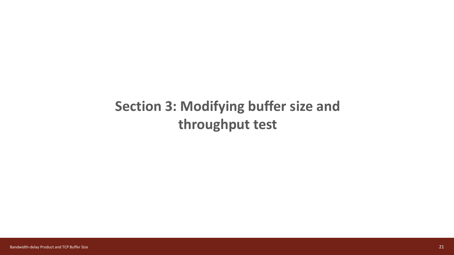#### **Section 3: Modifying buffer size and throughput test**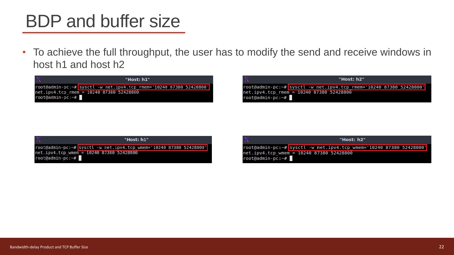### BDP and buffer size

• To achieve the full throughput, the user has to modify the send and receive windows in host h1 and host h2

![](_page_21_Figure_2.jpeg)

| X                                                            | "Host: h2"                                                          |  |  |  |  |  |  |  |  |
|--------------------------------------------------------------|---------------------------------------------------------------------|--|--|--|--|--|--|--|--|
|                                                              | root@admin-pc:~# sysctl -w net.ipv4.tcp rmem='10240 87380 52428800' |  |  |  |  |  |  |  |  |
| net.ipv4.tcp rmem = 10240 87380 52428800<br>root@admin-pc:~# |                                                                     |  |  |  |  |  |  |  |  |

|                  | "Host: h1"                                                                                                      |  |  |  |  |  |  |
|------------------|-----------------------------------------------------------------------------------------------------------------|--|--|--|--|--|--|
| root@admin-pc:~# | root@admin-pc:~# sysctl -w net.ipv4.tcp wmem='10240 87380 52428800'<br>net.ipv4.tcp wmem = 10240 87380 52428800 |  |  |  |  |  |  |

|  |  | "Host: h2" |
|--|--|------------|
|  |  |            |
|  |  |            |

root@admin-pc:~# sysctl -w net.ipv4.tcp\_wmem='10240 87380 52428800' net.ipv4.tcp wmem = 10240 87380 52428800  $root@admin-pc:-#$